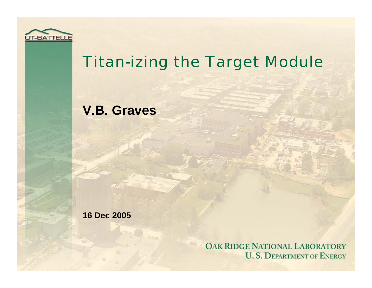

### Titan-izing the Target Module

### **V.B. Graves**

**16 Dec 2005**

OAK RIDGE NATIONAL LABORATORY **U.S. DEPARTMENT OF ENERGY**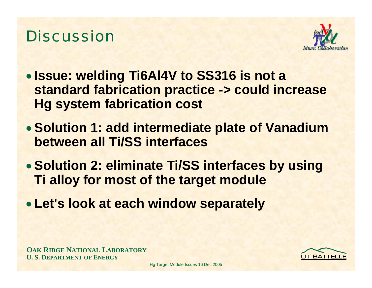### **Discussion**



- **Issue: welding Ti6Al4V to SS316 is not a standard fabrication practice -> could increase Hg system fabrication cost**
- **Solution 1: add intermediate plate of Vanadium between all Ti/SS interfaces**
- **Solution 2: eliminate Ti/SS interfaces by using Ti alloy for most of the target module**
- **Let's look at each window separately**



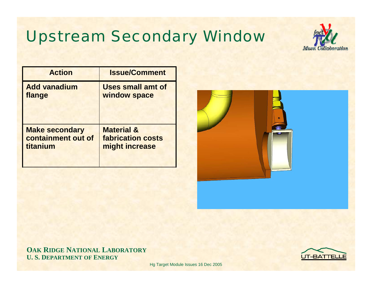## Upstream Secondary Window



| <b>Action</b>         | <b>Issue/Comment</b>     |
|-----------------------|--------------------------|
| <b>Add vanadium</b>   | <b>Uses small amt of</b> |
| flange                | window space             |
| <b>Make secondary</b> | <b>Material &amp;</b>    |
| containment out of    | <b>fabrication costs</b> |
| titanium              | might increase           |



**OAK RIDGE NATIONAL LABORATORY U. S. DEPARTMENT OF ENERGY**

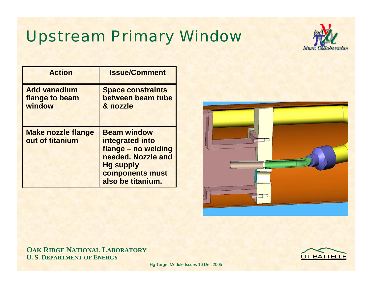# Upstream Primary Window



| <b>Action</b>                                   | <b>Issue/Comment</b>                                                                                                                           |
|-------------------------------------------------|------------------------------------------------------------------------------------------------------------------------------------------------|
| <b>Add vanadium</b><br>flange to beam<br>window | <b>Space constraints</b><br>between beam tube<br>& nozzle                                                                                      |
| <b>Make nozzle flange</b><br>out of titanium    | <b>Beam window</b><br>integrated into<br>flange - no welding<br>needed. Nozzle and<br><b>Hg supply</b><br>components must<br>also be titanium. |



**OAK RIDGE NATIONAL LABORATORY U. S. DEPARTMENT OF ENERGY**

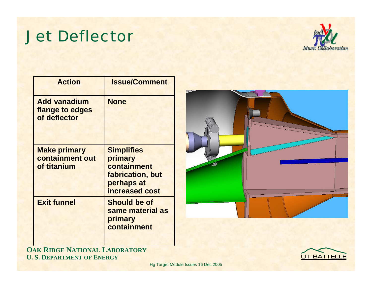### Jet Deflector



| <b>Action</b>                                          | <b>Issue/Comment</b>                                                                            |
|--------------------------------------------------------|-------------------------------------------------------------------------------------------------|
| <b>Add vanadium</b><br>flange to edges<br>of deflector | <b>None</b>                                                                                     |
| <b>Make primary</b><br>containment out<br>of titanium  | <b>Simplifies</b><br>primary<br>containment<br>fabrication, but<br>perhaps at<br>increased cost |
| <b>Exit funnel</b>                                     | <b>Should be of</b><br>same material as<br>primary<br>containment                               |



**OAK RIDGE NATIONAL LABORATORY U. S. DEPARTMENT OF ENERGY**

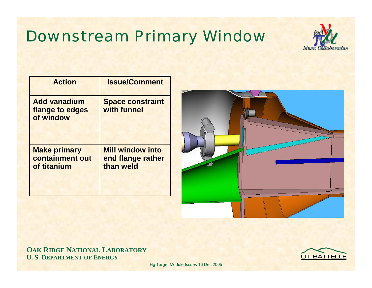# Downstream Primary Window



| <b>Action</b>                                         | <b>Issue/Comment</b>                                      |
|-------------------------------------------------------|-----------------------------------------------------------|
| <b>Add vanadium</b><br>flange to edges<br>of window   | <b>Space constraint</b><br>with funnel                    |
| <b>Make primary</b><br>containment out<br>of titanium | <b>Mill window into</b><br>end flange rather<br>than weld |



#### **OAK RIDGE NATIONAL LABORATORY U. S. DEPARTMENT OF ENERGY**

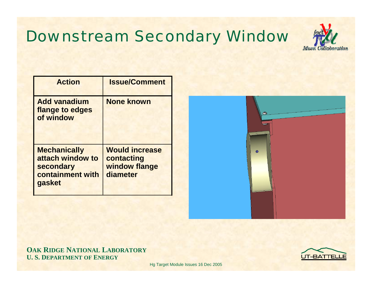# Downstream Secondary Window



| <b>Action</b>                                                                      | <b>Issue/Comment</b>                                             |
|------------------------------------------------------------------------------------|------------------------------------------------------------------|
| <b>Add vanadium</b><br>flange to edges<br>of window                                | <b>None known</b>                                                |
| <b>Mechanically</b><br>attach window to<br>secondary<br>containment with<br>gasket | <b>Would increase</b><br>contacting<br>window flange<br>diameter |



#### **OAK RIDGE NATIONAL LABORATORY U. S. DEPARTMENT OF ENERGY**

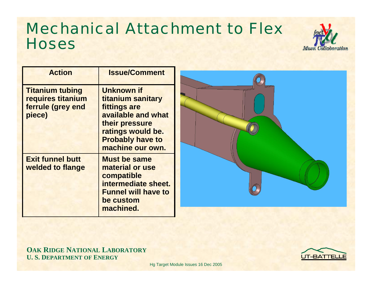### Mechanical Attachment to Flex **Hoses**



| <b>Action</b>                                                              | <b>Issue/Comment</b>                                                                                                                                               |
|----------------------------------------------------------------------------|--------------------------------------------------------------------------------------------------------------------------------------------------------------------|
| <b>Titanium tubing</b><br>requires titanium<br>ferrule (grey end<br>piece) | <b>Unknown if</b><br>titanium sanitary<br>fittings are<br>available and what<br>their pressure<br>ratings would be.<br><b>Probably have to</b><br>machine our own. |
| <b>Exit funnel butt</b><br>welded to flange                                | <b>Must be same</b><br>material or use<br>compatible<br>intermediate sheet.<br><b>Funnel will have to</b><br>be custom<br>machined.                                |



**OAK RIDGE NATIONAL LABORATORY U. S. DEPARTMENT OF ENERGY**

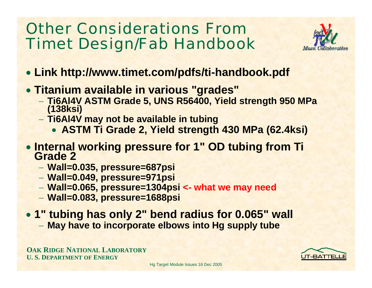### Other Considerations From Timet Design/Fab Handbook



- **Link http://www.timet.com/pdfs/ti-handbook.pdf**
- **Titanium available in various "grades"**
	- **Ti6Al4V ASTM Grade 5, UNS R56400, Yield strength 950 MPa (138ksi)**
	- **Ti6Al4V may not be available in tubing**
		- **ASTM Ti Grade 2, Yield strength 430 MPa (62.4ksi)**
- **Internal working pressure for 1" OD tubing from Ti Grade 2**
	- **Wall=0.035, pressure=687psi**
	- **Wall=0.049, pressure=971psi**
	- **Wall=0.065, pressure=1304psi <- what we may need**
	- **Wall=0.083, pressure=1688psi**
- **1" tubing has only 2" bend radius for 0.065" wall**
	- **May have to incorporate elbows into Hg supply tube**

**OAK RIDGE NATIONAL LABORATORY U. S. DEPARTMENT OF ENERGY**